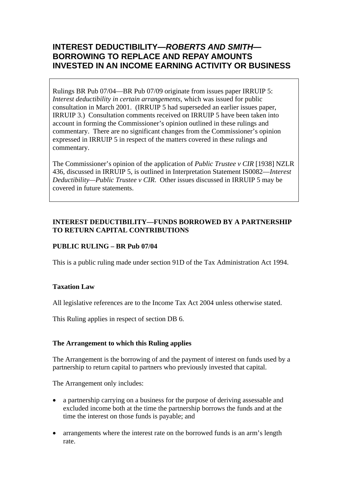# **INTEREST DEDUCTIBILITY—***ROBERTS AND SMITH***— BORROWING TO REPLACE AND REPAY AMOUNTS INVESTED IN AN INCOME EARNING ACTIVITY OR BUSINESS**

Rulings BR Pub 07/04—BR Pub 07/09 originate from issues paper IRRUIP 5: *Interest deductibility in certain arrangements*, which was issued for public consultation in March 2001. (IRRUIP 5 had superseded an earlier issues paper, IRRUIP 3.) Consultation comments received on IRRUIP 5 have been taken into account in forming the Commissioner's opinion outlined in these rulings and commentary. There are no significant changes from the Commissioner's opinion expressed in IRRUIP 5 in respect of the matters covered in these rulings and commentary.

The Commissioner's opinion of the application of *Public Trustee v CIR* [1938] NZLR 436, discussed in IRRUIP 5, is outlined in Interpretation Statement IS0082—*Interest Deductibility—Public Trustee v CIR*. Other issues discussed in IRRUIP 5 may be covered in future statements.

# **INTEREST DEDUCTIBILITY—FUNDS BORROWED BY A PARTNERSHIP TO RETURN CAPITAL CONTRIBUTIONS**

# **PUBLIC RULING – BR Pub 07/04**

This is a public ruling made under section 91D of the Tax Administration Act 1994.

### **Taxation Law**

All legislative references are to the Income Tax Act 2004 unless otherwise stated.

This Ruling applies in respect of section DB 6.

### **The Arrangement to which this Ruling applies**

The Arrangement is the borrowing of and the payment of interest on funds used by a partnership to return capital to partners who previously invested that capital.

The Arrangement only includes:

- a partnership carrying on a business for the purpose of deriving assessable and excluded income both at the time the partnership borrows the funds and at the time the interest on those funds is payable; and
- arrangements where the interest rate on the borrowed funds is an arm's length rate.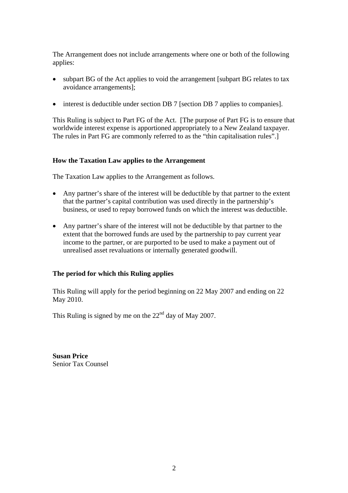The Arrangement does not include arrangements where one or both of the following applies:

- subpart BG of the Act applies to void the arrangement [subpart BG relates to tax avoidance arrangements];
- interest is deductible under section DB 7 [section DB 7 applies to companies].

This Ruling is subject to Part FG of the Act. [The purpose of Part FG is to ensure that worldwide interest expense is apportioned appropriately to a New Zealand taxpayer. The rules in Part FG are commonly referred to as the "thin capitalisation rules".]

### **How the Taxation Law applies to the Arrangement**

The Taxation Law applies to the Arrangement as follows.

- Any partner's share of the interest will be deductible by that partner to the extent that the partner's capital contribution was used directly in the partnership's business, or used to repay borrowed funds on which the interest was deductible.
- Any partner's share of the interest will not be deductible by that partner to the extent that the borrowed funds are used by the partnership to pay current year income to the partner, or are purported to be used to make a payment out of unrealised asset revaluations or internally generated goodwill.

### **The period for which this Ruling applies**

This Ruling will apply for the period beginning on 22 May 2007 and ending on 22 May 2010.

This Ruling is signed by me on the  $22<sup>nd</sup>$  day of May 2007.

**Susan Price**  Senior Tax Counsel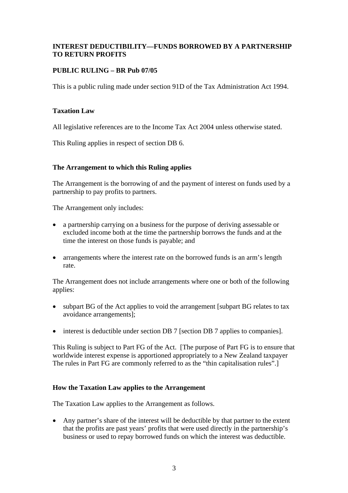# **INTEREST DEDUCTIBILITY—FUNDS BORROWED BY A PARTNERSHIP TO RETURN PROFITS**

# **PUBLIC RULING – BR Pub 07/05**

This is a public ruling made under section 91D of the Tax Administration Act 1994.

### **Taxation Law**

All legislative references are to the Income Tax Act 2004 unless otherwise stated.

This Ruling applies in respect of section DB 6.

# **The Arrangement to which this Ruling applies**

The Arrangement is the borrowing of and the payment of interest on funds used by a partnership to pay profits to partners.

The Arrangement only includes:

- a partnership carrying on a business for the purpose of deriving assessable or excluded income both at the time the partnership borrows the funds and at the time the interest on those funds is payable; and
- arrangements where the interest rate on the borrowed funds is an arm's length rate.

The Arrangement does not include arrangements where one or both of the following applies:

- subpart BG of the Act applies to void the arrangement [subpart BG relates to tax avoidance arrangements];
- interest is deductible under section DB 7 [section DB 7 applies to companies].

This Ruling is subject to Part FG of the Act. [The purpose of Part FG is to ensure that worldwide interest expense is apportioned appropriately to a New Zealand taxpayer The rules in Part FG are commonly referred to as the "thin capitalisation rules".]

### **How the Taxation Law applies to the Arrangement**

The Taxation Law applies to the Arrangement as follows.

• Any partner's share of the interest will be deductible by that partner to the extent that the profits are past years' profits that were used directly in the partnership's business or used to repay borrowed funds on which the interest was deductible.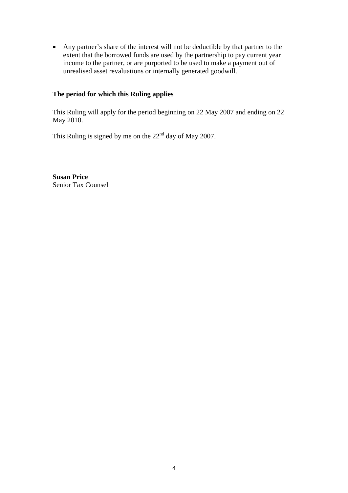• Any partner's share of the interest will not be deductible by that partner to the extent that the borrowed funds are used by the partnership to pay current year income to the partner, or are purported to be used to make a payment out of unrealised asset revaluations or internally generated goodwill.

### **The period for which this Ruling applies**

This Ruling will apply for the period beginning on 22 May 2007 and ending on 22 May 2010.

This Ruling is signed by me on the  $22<sup>nd</sup>$  day of May 2007.

**Susan Price**  Senior Tax Counsel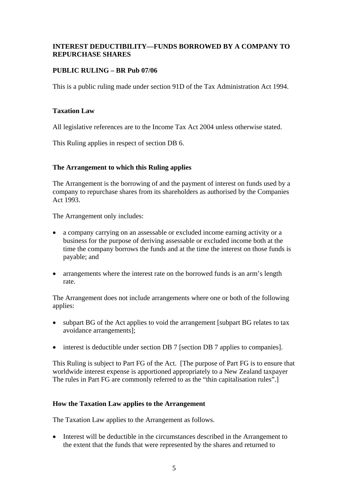### **INTEREST DEDUCTIBILITY—FUNDS BORROWED BY A COMPANY TO REPURCHASE SHARES**

### **PUBLIC RULING – BR Pub 07/06**

This is a public ruling made under section 91D of the Tax Administration Act 1994.

### **Taxation Law**

All legislative references are to the Income Tax Act 2004 unless otherwise stated.

This Ruling applies in respect of section DB 6.

# **The Arrangement to which this Ruling applies**

The Arrangement is the borrowing of and the payment of interest on funds used by a company to repurchase shares from its shareholders as authorised by the Companies Act 1993.

The Arrangement only includes:

- a company carrying on an assessable or excluded income earning activity or a business for the purpose of deriving assessable or excluded income both at the time the company borrows the funds and at the time the interest on those funds is payable; and
- arrangements where the interest rate on the borrowed funds is an arm's length rate.

The Arrangement does not include arrangements where one or both of the following applies:

- subpart BG of the Act applies to void the arrangement [subpart BG relates to tax avoidance arrangements];
- interest is deductible under section DB 7 [section DB 7 applies to companies].

This Ruling is subject to Part FG of the Act. [The purpose of Part FG is to ensure that worldwide interest expense is apportioned appropriately to a New Zealand taxpayer The rules in Part FG are commonly referred to as the "thin capitalisation rules".]

### **How the Taxation Law applies to the Arrangement**

The Taxation Law applies to the Arrangement as follows.

• Interest will be deductible in the circumstances described in the Arrangement to the extent that the funds that were represented by the shares and returned to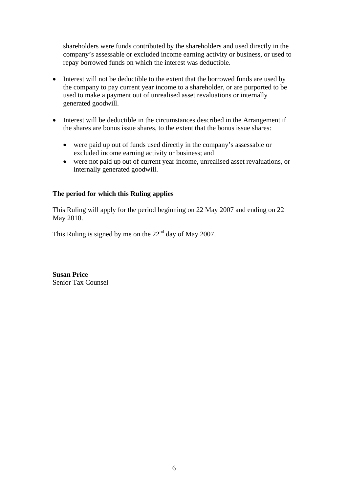shareholders were funds contributed by the shareholders and used directly in the company's assessable or excluded income earning activity or business, or used to repay borrowed funds on which the interest was deductible.

- Interest will not be deductible to the extent that the borrowed funds are used by the company to pay current year income to a shareholder, or are purported to be used to make a payment out of unrealised asset revaluations or internally generated goodwill.
- Interest will be deductible in the circumstances described in the Arrangement if the shares are bonus issue shares, to the extent that the bonus issue shares:
	- were paid up out of funds used directly in the company's assessable or excluded income earning activity or business; and
	- were not paid up out of current year income, unrealised asset revaluations, or internally generated goodwill.

# **The period for which this Ruling applies**

This Ruling will apply for the period beginning on 22 May 2007 and ending on 22 May 2010.

This Ruling is signed by me on the  $22<sup>nd</sup>$  day of May 2007.

**Susan Price**  Senior Tax Counsel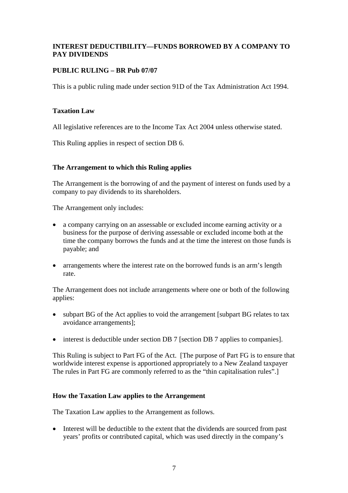# **INTEREST DEDUCTIBILITY—FUNDS BORROWED BY A COMPANY TO PAY DIVIDENDS**

# **PUBLIC RULING – BR Pub 07/07**

This is a public ruling made under section 91D of the Tax Administration Act 1994.

### **Taxation Law**

All legislative references are to the Income Tax Act 2004 unless otherwise stated.

This Ruling applies in respect of section DB 6.

# **The Arrangement to which this Ruling applies**

The Arrangement is the borrowing of and the payment of interest on funds used by a company to pay dividends to its shareholders.

The Arrangement only includes:

- a company carrying on an assessable or excluded income earning activity or a business for the purpose of deriving assessable or excluded income both at the time the company borrows the funds and at the time the interest on those funds is payable; and
- arrangements where the interest rate on the borrowed funds is an arm's length rate.

The Arrangement does not include arrangements where one or both of the following applies:

- subpart BG of the Act applies to void the arrangement [subpart BG relates to tax avoidance arrangements];
- interest is deductible under section DB 7 [section DB 7 applies to companies].

This Ruling is subject to Part FG of the Act. [The purpose of Part FG is to ensure that worldwide interest expense is apportioned appropriately to a New Zealand taxpayer The rules in Part FG are commonly referred to as the "thin capitalisation rules".]

### **How the Taxation Law applies to the Arrangement**

The Taxation Law applies to the Arrangement as follows.

• Interest will be deductible to the extent that the dividends are sourced from past years' profits or contributed capital, which was used directly in the company's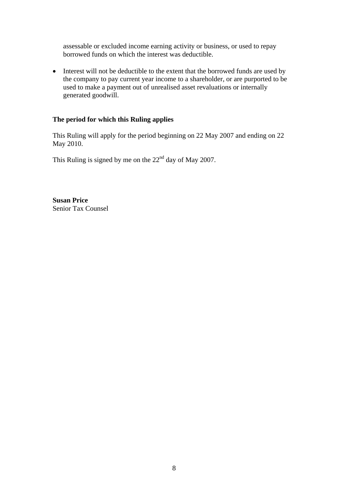assessable or excluded income earning activity or business, or used to repay borrowed funds on which the interest was deductible.

• Interest will not be deductible to the extent that the borrowed funds are used by the company to pay current year income to a shareholder, or are purported to be used to make a payment out of unrealised asset revaluations or internally generated goodwill.

### **The period for which this Ruling applies**

This Ruling will apply for the period beginning on 22 May 2007 and ending on 22 May 2010.

This Ruling is signed by me on the  $22<sup>nd</sup>$  day of May 2007.

**Susan Price**  Senior Tax Counsel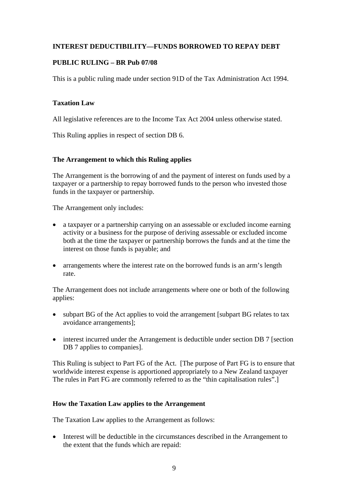# **INTEREST DEDUCTIBILITY—FUNDS BORROWED TO REPAY DEBT**

### **PUBLIC RULING – BR Pub 07/08**

This is a public ruling made under section 91D of the Tax Administration Act 1994.

### **Taxation Law**

All legislative references are to the Income Tax Act 2004 unless otherwise stated.

This Ruling applies in respect of section DB 6.

### **The Arrangement to which this Ruling applies**

The Arrangement is the borrowing of and the payment of interest on funds used by a taxpayer or a partnership to repay borrowed funds to the person who invested those funds in the taxpayer or partnership.

The Arrangement only includes:

- a taxpayer or a partnership carrying on an assessable or excluded income earning activity or a business for the purpose of deriving assessable or excluded income both at the time the taxpayer or partnership borrows the funds and at the time the interest on those funds is payable; and
- arrangements where the interest rate on the borrowed funds is an arm's length rate.

The Arrangement does not include arrangements where one or both of the following applies:

- subpart BG of the Act applies to void the arrangement [subpart BG relates to tax avoidance arrangements];
- interest incurred under the Arrangement is deductible under section DB 7 [section DB 7 applies to companies].

This Ruling is subject to Part FG of the Act. [The purpose of Part FG is to ensure that worldwide interest expense is apportioned appropriately to a New Zealand taxpayer The rules in Part FG are commonly referred to as the "thin capitalisation rules".]

### **How the Taxation Law applies to the Arrangement**

The Taxation Law applies to the Arrangement as follows:

• Interest will be deductible in the circumstances described in the Arrangement to the extent that the funds which are repaid: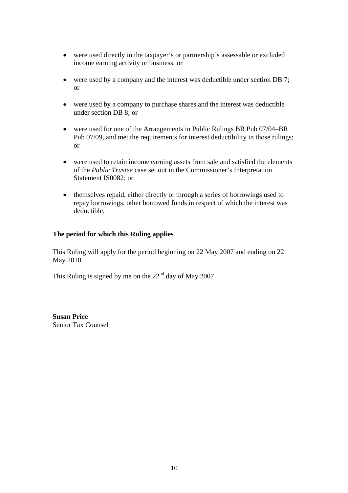- were used directly in the taxpayer's or partnership's assessable or excluded income earning activity or business; or
- were used by a company and the interest was deductible under section DB 7; or
- were used by a company to purchase shares and the interest was deductible under section DB 8; or
- were used for one of the Arrangements in Public Rulings BR Pub 07/04–BR Pub 07/09, and met the requirements for interest deductibility in those rulings; or
- were used to retain income earning assets from sale and satisfied the elements of the *Public Trustee* case set out in the Commissioner's Interpretation Statement IS0082; or
- themselves repaid, either directly or through a series of borrowings used to repay borrowings, other borrowed funds in respect of which the interest was deductible.

# **The period for which this Ruling applies**

This Ruling will apply for the period beginning on 22 May 2007 and ending on 22 May 2010.

This Ruling is signed by me on the  $22<sup>nd</sup>$  day of May 2007.

**Susan Price**  Senior Tax Counsel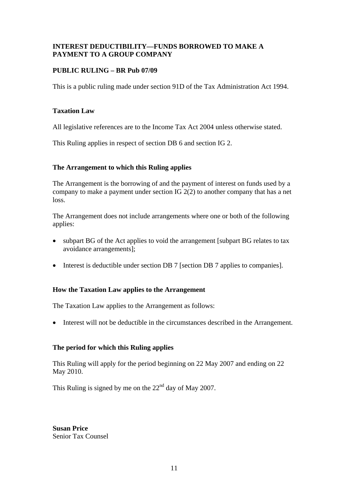# **INTEREST DEDUCTIBILITY—FUNDS BORROWED TO MAKE A PAYMENT TO A GROUP COMPANY**

# **PUBLIC RULING – BR Pub 07/09**

This is a public ruling made under section 91D of the Tax Administration Act 1994.

### **Taxation Law**

All legislative references are to the Income Tax Act 2004 unless otherwise stated.

This Ruling applies in respect of section DB 6 and section IG 2.

# **The Arrangement to which this Ruling applies**

The Arrangement is the borrowing of and the payment of interest on funds used by a company to make a payment under section IG 2(2) to another company that has a net loss.

The Arrangement does not include arrangements where one or both of the following applies:

- subpart BG of the Act applies to void the arrangement [subpart BG relates to tax avoidance arrangements];
- Interest is deductible under section DB 7 [section DB 7 applies to companies].

# **How the Taxation Law applies to the Arrangement**

The Taxation Law applies to the Arrangement as follows:

• Interest will not be deductible in the circumstances described in the Arrangement.

# **The period for which this Ruling applies**

This Ruling will apply for the period beginning on 22 May 2007 and ending on 22 May 2010.

This Ruling is signed by me on the 22<sup>nd</sup> day of May 2007.

**Susan Price**  Senior Tax Counsel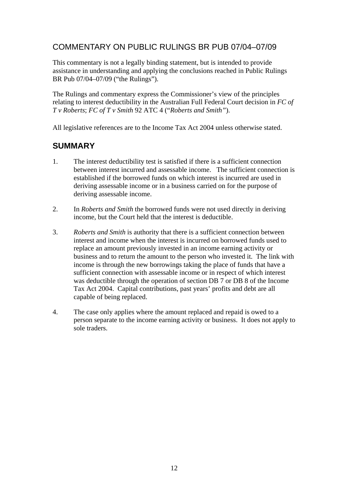# COMMENTARY ON PUBLIC RULINGS BR PUB 07/04–07/09

This commentary is not a legally binding statement, but is intended to provide assistance in understanding and applying the conclusions reached in Public Rulings BR Pub 07/04–07/09 ("the Rulings").

The Rulings and commentary express the Commissioner's view of the principles relating to interest deductibility in the Australian Full Federal Court decision in *FC of T v Roberts*; *FC of T v Smith* 92 ATC 4 ("*Roberts and Smith"*).

All legislative references are to the Income Tax Act 2004 unless otherwise stated.

# **SUMMARY**

- 1. The interest deductibility test is satisfied if there is a sufficient connection between interest incurred and assessable income. The sufficient connection is established if the borrowed funds on which interest is incurred are used in deriving assessable income or in a business carried on for the purpose of deriving assessable income.
- 2. In *Roberts and Smith* the borrowed funds were not used directly in deriving income, but the Court held that the interest is deductible.
- 3. *Roberts and Smith* is authority that there is a sufficient connection between interest and income when the interest is incurred on borrowed funds used to replace an amount previously invested in an income earning activity or business and to return the amount to the person who invested it. The link with income is through the new borrowings taking the place of funds that have a sufficient connection with assessable income or in respect of which interest was deductible through the operation of section DB 7 or DB 8 of the Income Tax Act 2004. Capital contributions, past years' profits and debt are all capable of being replaced.
- 4. The case only applies where the amount replaced and repaid is owed to a person separate to the income earning activity or business. It does not apply to sole traders.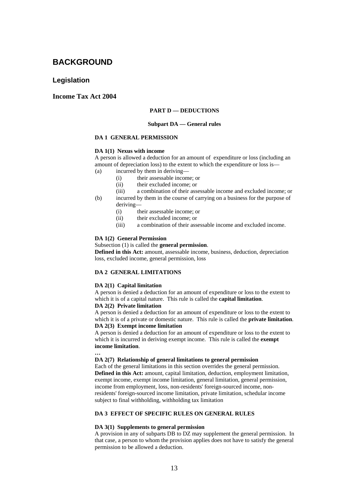# **BACKGROUND**

### **Legislation**

### **Income Tax Act 2004**

#### **PART D — DEDUCTIONS**

#### **Subpart DA — General rules**

### **DA 1 GENERAL PERMISSION**

#### **DA 1(1) Nexus with income**

A person is allowed a deduction for an amount of expenditure or loss (including an amount of depreciation loss) to the extent to which the expenditure or loss is—

(a) incurred by them in deriving—

- (i) their assessable income; or
- (ii) their excluded income; or
- (iii) a combination of their assessable income and excluded income; or
- (b) incurred by them in the course of carrying on a business for the purpose of deriving—
	- (i) their assessable income; or
	- (ii) their excluded income; or
	- (iii) a combination of their assessable income and excluded income.

#### **DA 1(2) General Permission**

### Subsection (1) is called the **general permission**.

**Defined in this Act:** amount, assessable income, business, deduction, depreciation loss, excluded income, general permission, loss

### **DA 2 GENERAL LIMITATIONS**

### **DA 2(1) Capital limitation**

A person is denied a deduction for an amount of expenditure or loss to the extent to which it is of a capital nature. This rule is called the **capital limitation**.

#### **DA 2(2) Private limitation**

A person is denied a deduction for an amount of expenditure or loss to the extent to which it is of a private or domestic nature. This rule is called the **private limitation**. **DA 2(3) Exempt income limitation** 

A person is denied a deduction for an amount of expenditure or loss to the extent to which it is incurred in deriving exempt income. This rule is called the **exempt income limitation**.

### **…**

#### **DA 2(7) Relationship of general limitations to general permission**

Each of the general limitations in this section overrides the general permission. **Defined in this Act:** amount, capital limitation, deduction, employment limitation, exempt income, exempt income limitation, general limitation, general permission, income from employment, loss, non-residents' foreign-sourced income, nonresidents' foreign-sourced income limitation, private limitation, schedular income subject to final withholding, withholding tax limitation

### **DA 3 EFFECT OF SPECIFIC RULES ON GENERAL RULES**

#### **DA 3(1) Supplements to general permission**

A provision in any of subparts DB to DZ may supplement the general permission. In that case, a person to whom the provision applies does not have to satisfy the general permission to be allowed a deduction.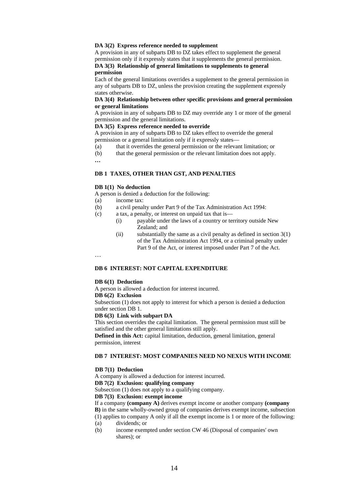#### **DA 3(2) Express reference needed to supplement**

A provision in any of subparts DB to DZ takes effect to supplement the general permission only if it expressly states that it supplements the general permission. **DA 3(3) Relationship of general limitations to supplements to general** 

#### **permission**

Each of the general limitations overrides a supplement to the general permission in any of subparts DB to DZ, unless the provision creating the supplement expressly states otherwise.

### **DA 3(4) Relationship between other specific provisions and general permission or general limitations**

A provision in any of subparts DB to DZ may override any 1 or more of the general permission and the general limitations.

#### **DA 3(5) Express reference needed to override**

A provision in any of subparts DB to DZ takes effect to override the general permission or a general limitation only if it expressly states—

- $\overline{a}$  (a) that it overrides the general permission or the relevant limitation; or
- (b) that the general permission or the relevant limitation does not apply.

**…** 

…

#### **DB 1 TAXES, OTHER THAN GST, AND PENALTIES**

#### **DB 1(1) No deduction**

A person is denied a deduction for the following:

- (a) income tax:
- (b) a civil penalty under Part 9 of the Tax Administration Act 1994:
- (c) a tax, a penalty, or interest on unpaid tax that is—
	- (i) payable under the laws of a country or territory outside New Zealand; and
		- (ii) substantially the same as a civil penalty as defined in section  $3(1)$ of the Tax Administration Act 1994, or a criminal penalty under Part 9 of the Act, or interest imposed under Part 7 of the Act.

### **DB 6 INTEREST: NOT CAPITAL EXPENDITURE**

#### **DB 6(1) Deduction**

A person is allowed a deduction for interest incurred. **DB 6(2) Exclusion** 

Subsection (1) does not apply to interest for which a person is denied a deduction under section DB 1.

#### **DB 6(3) Link with subpart DA**

This section overrides the capital limitation. The general permission must still be satisfied and the other general limitations still apply.

**Defined in this Act:** capital limitation, deduction, general limitation, general permission, interest

### **DB 7 INTEREST: MOST COMPANIES NEED NO NEXUS WITH INCOME**

#### **DB 7(1) Deduction**

A company is allowed a deduction for interest incurred. **DB 7(2) Exclusion: qualifying company** 

Subsection (1) does not apply to a qualifying company.

### **DB 7(3) Exclusion: exempt income**

If a company **(company A)** derives exempt income or another company **(company B)** in the same wholly-owned group of companies derives exempt income, subsection (1) applies to company A only if all the exempt income is 1 or more of the following:

- (a) dividends; or
- (b) income exempted under section CW 46 (Disposal of companies' own shares); or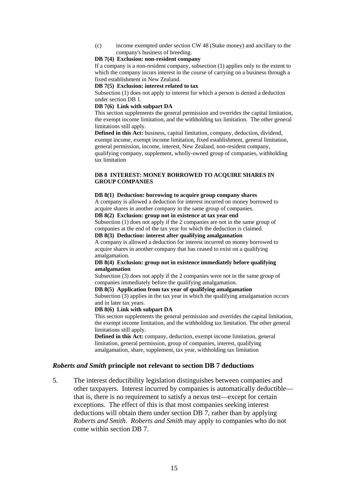(c) income exempted under section CW 48 (Stake money) and ancillary to the company's business of breeding.

### **DB 7(4) Exclusion: non-resident company**

If a company is a non-resident company, subsection (1) applies only to the extent to which the company incurs interest in the course of carrying on a business through a fixed establishment in New Zealand.

#### **DB 7(5) Exclusion: interest related to tax**

Subsection (1) does not apply to interest for which a person is denied a deduction under section DB 1.

### **DB 7(6) Link with subpart DA**

This section supplements the general permission and overrides the capital limitation, the exempt income limitation, and the withholding tax limitation. The other general limitations still apply.

**Defined in this Act:** business, capital limitation, company, deduction, dividend, exempt income, exempt income limitation, fixed establishment, general limitation, general permission, income, interest, New Zealand, non-resident company, qualifying company, supplement, wholly-owned group of companies, withholding tax limitation

### **DB 8 INTEREST: MONEY BORROWED TO ACQUIRE SHARES IN GROUP COMPANIES**

#### **DB 8(1) Deduction: borrowing to acquire group company shares**

A company is allowed a deduction for interest incurred on money borrowed to acquire shares in another company in the same group of companies.

### **DB 8(2) Exclusion: group not in existence at tax year end**

Subsection (1) does not apply if the 2 companies are not in the same group of companies at the end of the tax year for which the deduction is claimed.

### **DB 8(3) Deduction: interest after qualifying amalgamation**

A company is allowed a deduction for interest incurred on money borrowed to acquire shares in another company that has ceased to exist on a qualifying amalgamation.

### **DB 8(4) Exclusion: group not in existence immediately before qualifying amalgamation**

Subsection (3) does not apply if the 2 companies were not in the same group of companies immediately before the qualifying amalgamation.

### **DB 8(5) Application from tax year of qualifying amalgamation**

Subsection (3) applies in the tax year in which the qualifying amalgamation occurs and in later tax years.

#### **DB 8(6) Link with subpart DA**

This section supplements the general permission and overrides the capital limitation, the exempt income limitation, and the withholding tax limitation. The other general limitations still apply.

**Defined in this Act:** company, deduction, exempt income limitation, general limitation, general permission, group of companies, interest, qualifying amalgamation, share, supplement, tax year, withholding tax limitation

### *Roberts and Smith* **principle not relevant to section DB 7 deductions**

5. The interest deductibility legislation distinguishes between companies and other taxpayers. Interest incurred by companies is automatically deductible that is, there is no requirement to satisfy a nexus test—except for certain exceptions. The effect of this is that most companies seeking interest deductions will obtain them under section DB 7, rather than by applying *Roberts and Smith*. *Roberts and Smith* may apply to companies who do not come within section DB 7.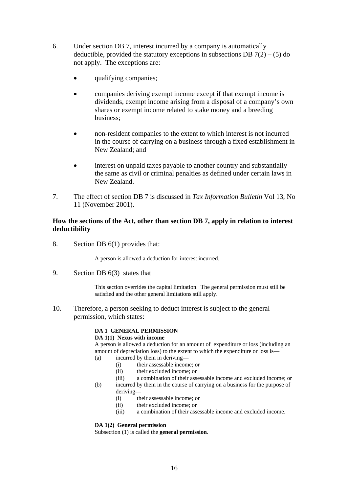- 6. Under section DB 7, interest incurred by a company is automatically deductible, provided the statutory exceptions in subsections DB  $7(2) - (5)$  do not apply. The exceptions are:
	- qualifying companies;
	- companies deriving exempt income except if that exempt income is dividends, exempt income arising from a disposal of a company's own shares or exempt income related to stake money and a breeding business;
	- non-resident companies to the extent to which interest is not incurred in the course of carrying on a business through a fixed establishment in New Zealand; and
	- interest on unpaid taxes payable to another country and substantially the same as civil or criminal penalties as defined under certain laws in New Zealand.
- 7. The effect of section DB 7 is discussed in *Tax Information Bulletin* Vol 13, No 11 (November 2001).

### **How the sections of the Act, other than section DB 7, apply in relation to interest deductibility**

8. Section DB 6(1) provides that:

A person is allowed a deduction for interest incurred.

9. Section DB 6(3) states that

This section overrides the capital limitation. The general permission must still be satisfied and the other general limitations still apply.

10. Therefore, a person seeking to deduct interest is subject to the general permission, which states:

### **DA 1 GENERAL PERMISSION**

### **DA 1(1) Nexus with income**

A person is allowed a deduction for an amount of expenditure or loss (including an amount of depreciation loss) to the extent to which the expenditure or loss is—

- (a) incurred by them in deriving—
	- (i) their assessable income; or
	- (ii) their excluded income; or
	- (iii) a combination of their assessable income and excluded income; or
- (b) incurred by them in the course of carrying on a business for the purpose of deriving—
	- (i) their assessable income; or
	- (ii) their excluded income; or
	- (iii) a combination of their assessable income and excluded income.

### **DA 1(2) General permission**

Subsection (1) is called the **general permission**.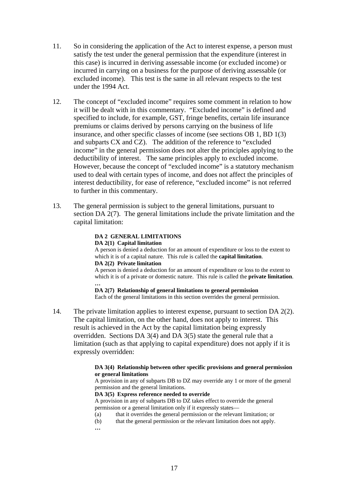- 11. So in considering the application of the Act to interest expense, a person must satisfy the test under the general permission that the expenditure (interest in this case) is incurred in deriving assessable income (or excluded income) or incurred in carrying on a business for the purpose of deriving assessable (or excluded income). This test is the same in all relevant respects to the test under the 1994 Act.
- 12. The concept of "excluded income" requires some comment in relation to how it will be dealt with in this commentary. "Excluded income" is defined and specified to include, for example, GST, fringe benefits, certain life insurance premiums or claims derived by persons carrying on the business of life insurance, and other specific classes of income (see sections OB 1, BD 1(3) and subparts CX and CZ). The addition of the reference to "excluded income" in the general permission does not alter the principles applying to the deductibility of interest. The same principles apply to excluded income. However, because the concept of "excluded income" is a statutory mechanism used to deal with certain types of income, and does not affect the principles of interest deductibility, for ease of reference, "excluded income" is not referred to further in this commentary.
- 13. The general permission is subject to the general limitations, pursuant to section DA 2(7). The general limitations include the private limitation and the capital limitation:

# **DA 2 GENERAL LIMITATIONS**

### **DA 2(1) Capital limitation**

A person is denied a deduction for an amount of expenditure or loss to the extent to which it is of a capital nature. This rule is called the **capital limitation**. **DA 2(2) Private limitation** 

A person is denied a deduction for an amount of expenditure or loss to the extent to which it is of a private or domestic nature. This rule is called the **private limitation**. **…** 

**DA 2(7) Relationship of general limitations to general permission** Each of the general limitations in this section overrides the general permission.

14. The private limitation applies to interest expense, pursuant to section DA 2(2). The capital limitation, on the other hand, does not apply to interest. This result is achieved in the Act by the capital limitation being expressly overridden. Sections DA 3(4) and DA 3(5) state the general rule that a limitation (such as that applying to capital expenditure) does not apply if it is expressly overridden:

### **DA 3(4) Relationship between other specific provisions and general permission or general limitations**

A provision in any of subparts DB to DZ may override any 1 or more of the general permission and the general limitations.

### **DA 3(5) Express reference needed to override**

A provision in any of subparts DB to DZ takes effect to override the general permission or a general limitation only if it expressly states—

- (a) that it overrides the general permission or the relevant limitation; or
- (b) that the general permission or the relevant limitation does not apply.
- **…**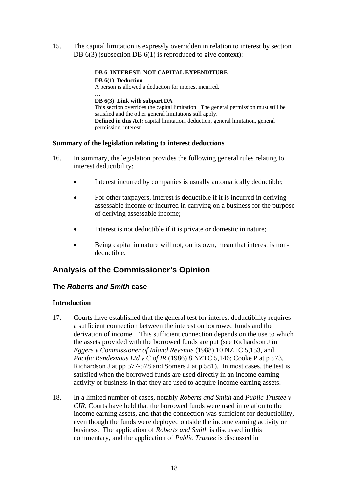15. The capital limitation is expressly overridden in relation to interest by section DB 6(3) (subsection DB 6(1) is reproduced to give context):

### **DB 6 INTEREST: NOT CAPITAL EXPENDITURE**

**DB 6(1) Deduction**  A person is allowed a deduction for interest incurred. **… DB 6(3) Link with subpart DA**  This section overrides the capital limitation. The general permission must still be satisfied and the other general limitations still apply. **Defined in this Act:** capital limitation, deduction, general limitation, general permission, interest

### **Summary of the legislation relating to interest deductions**

- 16. In summary, the legislation provides the following general rules relating to interest deductibility:
	- Interest incurred by companies is usually automatically deductible;
	- For other taxpayers, interest is deductible if it is incurred in deriving assessable income or incurred in carrying on a business for the purpose of deriving assessable income;
	- Interest is not deductible if it is private or domestic in nature;
	- Being capital in nature will not, on its own, mean that interest is nondeductible.

# **Analysis of the Commissioner's Opinion**

# **The** *Roberts and Smith* **case**

### **Introduction**

- 17. Courts have established that the general test for interest deductibility requires a sufficient connection between the interest on borrowed funds and the derivation of income. This sufficient connection depends on the use to which the assets provided with the borrowed funds are put (see Richardson J in *Eggers v Commissioner of Inland Revenue* (1988) 10 NZTC 5,153, and *Pacific Rendezvous Ltd v C of IR* (1986) 8 NZTC 5,146; Cooke P at p 573, Richardson J at pp 577-578 and Somers J at p 581). In most cases, the test is satisfied when the borrowed funds are used directly in an income earning activity or business in that they are used to acquire income earning assets.
- 18. In a limited number of cases, notably *Roberts and Smith* and *Public Trustee v CIR*, Courts have held that the borrowed funds were used in relation to the income earning assets, and that the connection was sufficient for deductibility, even though the funds were deployed outside the income earning activity or business. The application of *Roberts and Smith* is discussed in this commentary, and the application of *Public Trustee* is discussed in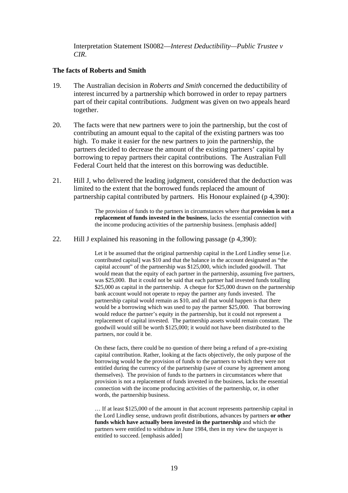Interpretation Statement IS0082—*Interest Deductibility—Public Trustee v CIR*.

### **The facts of Roberts and Smith**

- 19. The Australian decision in *Roberts and Smith* concerned the deductibility of interest incurred by a partnership which borrowed in order to repay partners part of their capital contributions. Judgment was given on two appeals heard together.
- 20. The facts were that new partners were to join the partnership, but the cost of contributing an amount equal to the capital of the existing partners was too high. To make it easier for the new partners to join the partnership, the partners decided to decrease the amount of the existing partners' capital by borrowing to repay partners their capital contributions. The Australian Full Federal Court held that the interest on this borrowing was deductible.
- 21. Hill J, who delivered the leading judgment, considered that the deduction was limited to the extent that the borrowed funds replaced the amount of partnership capital contributed by partners. His Honour explained (p 4,390):

The provision of funds to the partners in circumstances where that **provision is not a replacement of funds invested in the business**, lacks the essential connection with the income producing activities of the partnership business. [emphasis added]

22. Hill J explained his reasoning in the following passage (p 4,390):

Let it be assumed that the original partnership capital in the Lord Lindley sense [i.e. contributed capital] was \$10 and that the balance in the account designated as "the capital account" of the partnership was \$125,000, which included goodwill. That would mean that the equity of each partner in the partnership, assuming five partners, was \$25,000. But it could not be said that each partner had invested funds totalling \$25,000 as capital in the partnership. A cheque for \$25,000 drawn on the partnership bank account would not operate to repay the partner any funds invested. The partnership capital would remain as \$10, and all that would happen is that there would be a borrowing which was used to pay the partner \$25,000. That borrowing would reduce the partner's equity in the partnership, but it could not represent a replacement of capital invested. The partnership assets would remain constant. The goodwill would still be worth \$125,000; it would not have been distributed to the partners, nor could it be.

On these facts, there could be no question of there being a refund of a pre-existing capital contribution. Rather, looking at the facts objectively, the only purpose of the borrowing would be the provision of funds to the partners to which they were not entitled during the currency of the partnership (save of course by agreement among themselves). The provision of funds to the partners in circumstances where that provision is not a replacement of funds invested in the business, lacks the essential connection with the income producing activities of the partnership, or, in other words, the partnership business.

… If at least \$125,000 of the amount in that account represents partnership capital in the Lord Lindley sense, undrawn profit distributions, advances by partners **or other funds which have actually been invested in the partnership** and which the partners were entitled to withdraw in June 1984, then in my view the taxpayer is entitled to succeed. [emphasis added]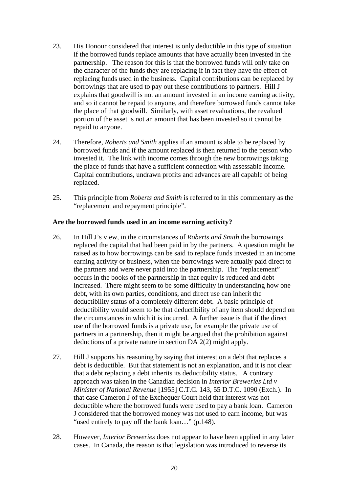- 23. His Honour considered that interest is only deductible in this type of situation if the borrowed funds replace amounts that have actually been invested in the partnership. The reason for this is that the borrowed funds will only take on the character of the funds they are replacing if in fact they have the effect of replacing funds used in the business. Capital contributions can be replaced by borrowings that are used to pay out these contributions to partners. Hill J explains that goodwill is not an amount invested in an income earning activity, and so it cannot be repaid to anyone, and therefore borrowed funds cannot take the place of that goodwill. Similarly, with asset revaluations, the revalued portion of the asset is not an amount that has been invested so it cannot be repaid to anyone.
- 24. Therefore, *Roberts and Smith* applies if an amount is able to be replaced by borrowed funds and if the amount replaced is then returned to the person who invested it. The link with income comes through the new borrowings taking the place of funds that have a sufficient connection with assessable income. Capital contributions, undrawn profits and advances are all capable of being replaced.
- 25. This principle from *Roberts and Smith* is referred to in this commentary as the "replacement and repayment principle".

### **Are the borrowed funds used in an income earning activity?**

- 26. In Hill J's view, in the circumstances of *Roberts and Smith* the borrowings replaced the capital that had been paid in by the partners. A question might be raised as to how borrowings can be said to replace funds invested in an income earning activity or business, when the borrowings were actually paid direct to the partners and were never paid into the partnership. The "replacement" occurs in the books of the partnership in that equity is reduced and debt increased. There might seem to be some difficulty in understanding how one debt, with its own parties, conditions, and direct use can inherit the deductibility status of a completely different debt. A basic principle of deductibility would seem to be that deductibility of any item should depend on the circumstances in which it is incurred. A further issue is that if the direct use of the borrowed funds is a private use, for example the private use of partners in a partnership, then it might be argued that the prohibition against deductions of a private nature in section DA 2(2) might apply.
- 27. Hill J supports his reasoning by saying that interest on a debt that replaces a debt is deductible. But that statement is not an explanation, and it is not clear that a debt replacing a debt inherits its deductibility status. A contrary approach was taken in the Canadian decision in *Interior Breweries Ltd v Minister of National Revenue* [1955] C.T.C. 143, 55 D.T.C. 1090 (Exch.). In that case Cameron J of the Exchequer Court held that interest was not deductible where the borrowed funds were used to pay a bank loan. Cameron J considered that the borrowed money was not used to earn income, but was "used entirely to pay off the bank loan..." (p.148).
- 28. However, *Interior Breweries* does not appear to have been applied in any later cases. In Canada, the reason is that legislation was introduced to reverse its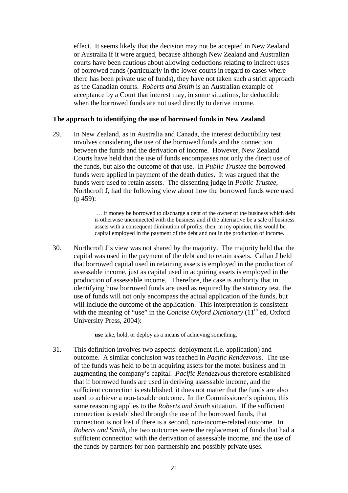effect. It seems likely that the decision may not be accepted in New Zealand or Australia if it were argued, because although New Zealand and Australian courts have been cautious about allowing deductions relating to indirect uses of borrowed funds (particularly in the lower courts in regard to cases where there has been private use of funds), they have not taken such a strict approach as the Canadian courts. *Roberts and Smith* is an Australian example of acceptance by a Court that interest may, in some situations, be deductible when the borrowed funds are not used directly to derive income.

### **The approach to identifying the use of borrowed funds in New Zealand**

29. In New Zealand, as in Australia and Canada, the interest deductibility test involves considering the use of the borrowed funds and the connection between the funds and the derivation of income. However, New Zealand Courts have held that the use of funds encompasses not only the direct use of the funds, but also the outcome of that use. In *Public Trustee* the borrowed funds were applied in payment of the death duties. It was argued that the funds were used to retain assets. The dissenting judge in *Public Trustee*, Northcroft J, had the following view about how the borrowed funds were used (p 459):

> … if money be borrowed to discharge a debt of the owner of the business which debt is otherwise unconnected with the business and if the alternative be a sale of business assets with a consequent diminution of profits, then, in my opinion, this would be capital employed in the payment of the debt and not in the production of income.

30. Northcroft J's view was not shared by the majority. The majority held that the capital was used in the payment of the debt and to retain assets. Callan J held that borrowed capital used in retaining assets is employed in the production of assessable income, just as capital used in acquiring assets is employed in the production of assessable income. Therefore, the case is authority that in identifying how borrowed funds are used as required by the statutory test, the use of funds will not only encompass the actual application of the funds, but will include the outcome of the application. This interpretation is consistent with the meaning of "use" in the *Concise Oxford Dictionary* (11<sup>th</sup> ed, Oxford University Press, 2004):

**use** take, hold, or deploy as a means of achieving something.

31. This definition involves two aspects: deployment (i.e. application) and outcome. A similar conclusion was reached in *Pacific Rendezvous*. The use of the funds was held to be in acquiring assets for the motel business and in augmenting the company's capital. *Pacific Rendezvous* therefore established that if borrowed funds are used in deriving assessable income, and the sufficient connection is established, it does not matter that the funds are also used to achieve a non-taxable outcome. In the Commissioner's opinion, this same reasoning applies to the *Roberts and Smith* situation. If the sufficient connection is established through the use of the borrowed funds, that connection is not lost if there is a second, non-income-related outcome. In *Roberts and Smith*, the two outcomes were the replacement of funds that had a sufficient connection with the derivation of assessable income, and the use of the funds by partners for non-partnership and possibly private uses.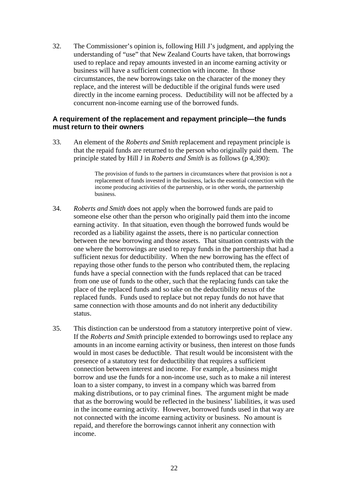32. The Commissioner's opinion is, following Hill J's judgment, and applying the understanding of "use" that New Zealand Courts have taken, that borrowings used to replace and repay amounts invested in an income earning activity or business will have a sufficient connection with income. In those circumstances, the new borrowings take on the character of the money they replace, and the interest will be deductible if the original funds were used directly in the income earning process. Deductibility will not be affected by a concurrent non-income earning use of the borrowed funds.

### **A requirement of the replacement and repayment principle—the funds must return to their owners**

33. An element of the *Roberts and Smith* replacement and repayment principle is that the repaid funds are returned to the person who originally paid them. The principle stated by Hill J in *Roberts and Smith* is as follows (p 4,390):

> The provision of funds to the partners in circumstances where that provision is not a replacement of funds invested in the business, lacks the essential connection with the income producing activities of the partnership, or in other words, the partnership business.

- 34. *Roberts and Smith* does not apply when the borrowed funds are paid to someone else other than the person who originally paid them into the income earning activity. In that situation, even though the borrowed funds would be recorded as a liability against the assets, there is no particular connection between the new borrowing and those assets. That situation contrasts with the one where the borrowings are used to repay funds in the partnership that had a sufficient nexus for deductibility. When the new borrowing has the effect of repaying those other funds to the person who contributed them, the replacing funds have a special connection with the funds replaced that can be traced from one use of funds to the other, such that the replacing funds can take the place of the replaced funds and so take on the deductibility nexus of the replaced funds. Funds used to replace but not repay funds do not have that same connection with those amounts and do not inherit any deductibility status.
- 35. This distinction can be understood from a statutory interpretive point of view. If the *Roberts and Smith* principle extended to borrowings used to replace any amounts in an income earning activity or business, then interest on those funds would in most cases be deductible. That result would be inconsistent with the presence of a statutory test for deductibility that requires a sufficient connection between interest and income. For example, a business might borrow and use the funds for a non-income use, such as to make a nil interest loan to a sister company, to invest in a company which was barred from making distributions, or to pay criminal fines. The argument might be made that as the borrowing would be reflected in the business' liabilities, it was used in the income earning activity. However, borrowed funds used in that way are not connected with the income earning activity or business. No amount is repaid, and therefore the borrowings cannot inherit any connection with income.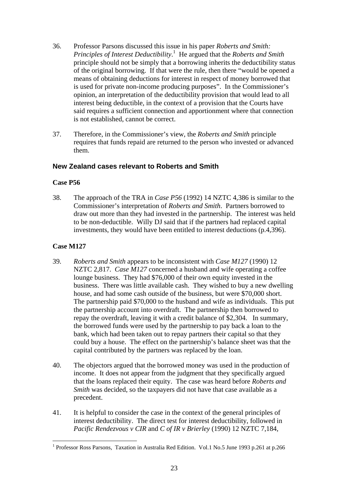- 36. Professor Parsons discussed this issue in his paper *Roberts and Smith: Principles of Interest Deductibility*. 1 He argued that the *Roberts and Smith* principle should not be simply that [a](#page-22-0) borrowing inherits the deductibility status of the original borrowing. If that were the rule, then there "would be opened a means of obtaining deductions for interest in respect of money borrowed that is used for private non-income producing purposes". In the Commissioner's opinion, an interpretation of the deductibility provision that would lead to all interest being deductible, in the context of a provision that the Courts have said requires a sufficient connection and apportionment where that connection is not established, cannot be correct.
- 37. Therefore, in the Commissioner's view, the *Roberts and Smith* principle requires that funds repaid are returned to the person who invested or advanced them.

# **New Zealand cases relevant to Roberts and Smith**

# **Case P56**

38. The approach of the TRA in *Case P56* (1992) 14 NZTC 4,386 is similar to the Commissioner's interpretation of *Roberts and Smith*. Partners borrowed to draw out more than they had invested in the partnership. The interest was held to be non-deductible. Willy DJ said that if the partners had replaced capital investments, they would have been entitled to interest deductions (p.4,396).

# **Case M127**

 $\overline{a}$ 

- 39. *Roberts and Smith* appears to be inconsistent with *Case M127* (1990) 12 NZTC 2,817. *Case M127* concerned a husband and wife operating a coffee lounge business. They had \$76,000 of their own equity invested in the business. There was little available cash. They wished to buy a new dwelling house, and had some cash outside of the business, but were \$70,000 short. The partnership paid \$70,000 to the husband and wife as individuals. This put the partnership account into overdraft. The partnership then borrowed to repay the overdraft, leaving it with a credit balance of \$2,304. In summary, the borrowed funds were used by the partnership to pay back a loan to the bank, which had been taken out to repay partners their capital so that they could buy a house. The effect on the partnership's balance sheet was that the capital contributed by the partners was replaced by the loan.
- 40. The objectors argued that the borrowed money was used in the production of income. It does not appear from the judgment that they specifically argued that the loans replaced their equity. The case was heard before *Roberts and Smith* was decided, so the taxpayers did not have that case available as a precedent.
- 41. It is helpful to consider the case in the context of the general principles of interest deductibility. The direct test for interest deductibility, followed in *Pacific Rendezvous v CIR* and *C of IR v Brierley* (1990) 12 NZTC 7,184,

<span id="page-22-0"></span><sup>&</sup>lt;sup>1</sup> Professor Ross Parsons, Taxation in Australia Red Edition. Vol.1 No.5 June 1993 p.261 at p.266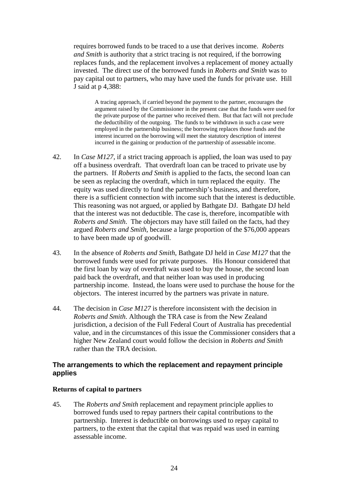requires borrowed funds to be traced to a use that derives income. *Roberts and Smith* is authority that a strict tracing is not required, if the borrowing replaces funds, and the replacement involves a replacement of money actually invested. The direct use of the borrowed funds in *Roberts and Smith* was to pay capital out to partners, who may have used the funds for private use. Hill J said at p 4,388:

A tracing approach, if carried beyond the payment to the partner, encourages the argument raised by the Commissioner in the present case that the funds were used for the private purpose of the partner who received them. But that fact will not preclude the deductibility of the outgoing. The funds to be withdrawn in such a case were employed in the partnership business; the borrowing replaces those funds and the interest incurred on the borrowing will meet the statutory description of interest incurred in the gaining or production of the partnership of assessable income.

- 42. In *Case M127*, if a strict tracing approach is applied, the loan was used to pay off a business overdraft. That overdraft loan can be traced to private use by the partners. If *Roberts and Smith* is applied to the facts, the second loan can be seen as replacing the overdraft, which in turn replaced the equity. The equity was used directly to fund the partnership's business, and therefore, there is a sufficient connection with income such that the interest is deductible. This reasoning was not argued, or applied by Bathgate DJ. Bathgate DJ held that the interest was not deductible. The case is, therefore, incompatible with *Roberts and Smith*. The objectors may have still failed on the facts, had they argued *Roberts and Smith*, because a large proportion of the \$76,000 appears to have been made up of goodwill.
- 43. In the absence of *Roberts and Smith*, Bathgate DJ held in *Case M127* that the borrowed funds were used for private purposes. His Honour considered that the first loan by way of overdraft was used to buy the house, the second loan paid back the overdraft, and that neither loan was used in producing partnership income. Instead, the loans were used to purchase the house for the objectors. The interest incurred by the partners was private in nature.
- 44. The decision in *Case M127* is therefore inconsistent with the decision in *Roberts and Smith*. Although the TRA case is from the New Zealand jurisdiction, a decision of the Full Federal Court of Australia has precedential value, and in the circumstances of this issue the Commissioner considers that a higher New Zealand court would follow the decision in *Roberts and Smith* rather than the TRA decision.

### **The arrangements to which the replacement and repayment principle applies**

### **Returns of capital to partners**

45. The *Roberts and Smith* replacement and repayment principle applies to borrowed funds used to repay partners their capital contributions to the partnership. Interest is deductible on borrowings used to repay capital to partners, to the extent that the capital that was repaid was used in earning assessable income.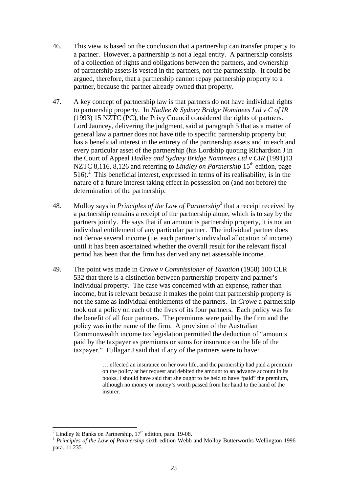- 46. This view is based on the conclusion that a partnership can transfer property to a partner. However, a partnership is not a legal entity. A partnership consists of a collection of rights and obligations between the partners, and ownership of partnership assets is vested in the partners, not the partnership. It could be argued, therefore, that a partnership cannot repay partnership property to a partner, because the partner already owned that property.
- 47. A key concept of partnership law is that partners do not have individual rights to partnership property. In *Hadlee & Sydney Bridge Nominees Ltd v C of IR*  (1993) 15 NZTC (PC), the Privy Council considered the rights of partners. Lord Jauncey, delivering the judgment, said at paragraph 5 that as a matter of general law a partner does not have title to specific partnership property but has a beneficial interest in the entirety of the partnership assets and in each and every particular asset of the partnership (his Lordship quoting Richardson J in the Court of Appeal *Hadlee and Sydney Bridge Nominees Ltd v CIR* (1991)13 NZTC 8,116, 8,126 and referring to *Lindley on Partnership* 15<sup>th</sup> edition, page 516).2 This beneficial interest, expressed in terms of its realisability, is in the natur[e](#page-24-0) of a future interest taking effect in possession on (and not before) the determination of the partnership.
- 48. Molloy says in *Principles of the Law of Partnership*<sup>[3](#page-24-1)</sup> that a receipt received by a partnership remains a receipt of the partnership alone, which is to say by the partners jointly. He says that if an amount is partnership property, it is not an individual entitlement of any particular partner. The individual partner does not derive several income (i.e. each partner's individual allocation of income) until it has been ascertained whether the overall result for the relevant fiscal period has been that the firm has derived any net assessable income.
- 49. The point was made in *Crowe v Commissioner of Taxation* (1958) 100 CLR 532 that there is a distinction between partnership property and partner's individual property. The case was concerned with an expense, rather than income, but is relevant because it makes the point that partnership property is not the same as individual entitlements of the partners. In *Crowe* a partnership took out a policy on each of the lives of its four partners. Each policy was for the benefit of all four partners. The premiums were paid by the firm and the policy was in the name of the firm. A provision of the Australian Commonwealth income tax legislation permitted the deduction of "amounts paid by the taxpayer as premiums or sums for insurance on the life of the taxpayer." Fullagar J said that if any of the partners were to have:

… effected an insurance on her own life, and the partnership had paid a premium on the policy at her request and debited the amount to an advance account in its books, I should have said that she ought to be held to have "paid" the premium, although no money or money's worth passed from her hand to the hand of the insurer.

 $\frac{1}{2}$ 

<span id="page-24-1"></span><span id="page-24-0"></span><sup>&</sup>lt;sup>3</sup> *Principles of the Law of Partnership* sixth edition Webb and Molloy Butterworths Wellington 1996 para. 11.235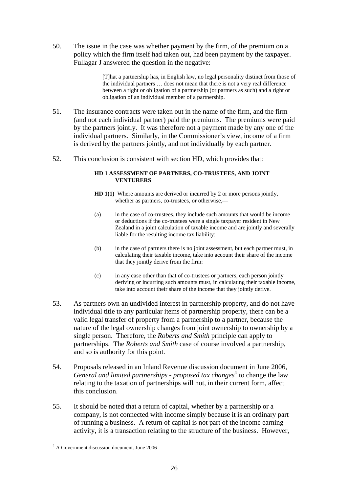50. The issue in the case was whether payment by the firm, of the premium on a policy which the firm itself had taken out, had been payment by the taxpayer. Fullagar J answered the question in the negative:

> [T]hat a partnership has, in English law, no legal personality distinct from those of the individual partners … does not mean that there is not a very real difference between a right or obligation of a partnership (or partners as such) and a right or obligation of an individual member of a partnership.

- 51. The insurance contracts were taken out in the name of the firm, and the firm (and not each individual partner) paid the premiums. The premiums were paid by the partners jointly. It was therefore not a payment made by any one of the individual partners. Similarly, in the Commissioner's view, income of a firm is derived by the partners jointly, and not individually by each partner.
- 52. This conclusion is consistent with section HD, which provides that:

### **HD 1 ASSESSMENT OF PARTNERS, CO-TRUSTEES, AND JOINT VENTURERS**

- **HD 1(1)** Where amounts are derived or incurred by 2 or more persons jointly, whether as partners, co-trustees, or otherwise.—
- (a) in the case of co-trustees, they include such amounts that would be income or deductions if the co-trustees were a single taxpayer resident in New Zealand in a joint calculation of taxable income and are jointly and severally liable for the resulting income tax liability:
- (b) in the case of partners there is no joint assessment, but each partner must, in calculating their taxable income, take into account their share of the income that they jointly derive from the firm:
- (c) in any case other than that of co-trustees or partners, each person jointly deriving or incurring such amounts must, in calculating their taxable income, take into account their share of the income that they jointly derive.
- 53. As partners own an undivided interest in partnership property, and do not have individual title to any particular items of partnership property, there can be a valid legal transfer of property from a partnership to a partner, because the nature of the legal ownership changes from joint ownership to ownership by a single person. Therefore, the *Roberts and Smith* principle can apply to partnerships. The *Roberts and Smith* case of course involved a partnership, and so is authority for this point.
- 54. Proposals released in an Inland Revenue discussion document in June 2006, *[General and limited partnerships - proposed tax changes](http://pad/external/publications/files/html/partnerships/index.html)*<sup>4</sup> to change the law relating to the taxation of partnerships will not, in their c[urr](#page-25-0)ent form, affect this conclusion.
- 55. It should be noted that a return of capital, whether by a partnership or a company, is not connected with income simply because it is an ordinary part of running a business. A return of capital is not part of the income earning activity, it is a transaction relating to the structure of the business. However,

 $\overline{a}$ 

<span id="page-25-0"></span><sup>4</sup> A Government discussion document. June 2006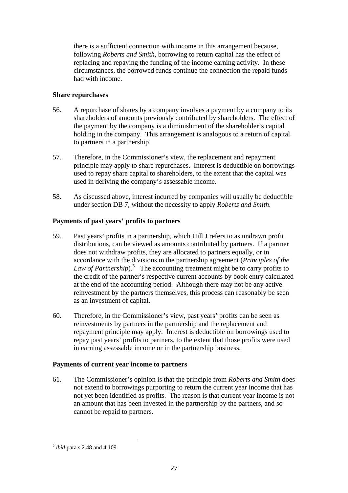there is a sufficient connection with income in this arrangement because, following *Roberts and Smith*, borrowing to return capital has the effect of replacing and repaying the funding of the income earning activity. In these circumstances, the borrowed funds continue the connection the repaid funds had with income.

### **Share repurchases**

- 56. A repurchase of shares by a company involves a payment by a company to its shareholders of amounts previously contributed by shareholders. The effect of the payment by the company is a diminishment of the shareholder's capital holding in the company. This arrangement is analogous to a return of capital to partners in a partnership.
- 57. Therefore, in the Commissioner's view, the replacement and repayment principle may apply to share repurchases. Interest is deductible on borrowings used to repay share capital to shareholders, to the extent that the capital was used in deriving the company's assessable income.
- 58. As discussed above, interest incurred by companies will usually be deductible under section DB 7, without the necessity to apply *Roberts and Smith*.

# **Payments of past years' profits to partners**

- 59. Past years' profits in a partnership, which Hill J refers to as undrawn profit distributions, can be viewed as amounts contributed by partners. If a partner does not withdraw profits, they are allocated to partners equally, or in accordance with the divisions in the partnership agreement (*Principles of the* Law of Partnership).<sup>5</sup> The accounting treatment might be to carry profits to the credit of the part[ne](#page-26-0)r's respective current accounts by book entry calculated at the end of the accounting period. Although there may not be any active reinvestment by the partners themselves, this process can reasonably be seen as an investment of capital.
- 60. Therefore, in the Commissioner's view, past years' profits can be seen as reinvestments by partners in the partnership and the replacement and repayment principle may apply. Interest is deductible on borrowings used to repay past years' profits to partners, to the extent that those profits were used in earning assessable income or in the partnership business.

# **Payments of current year income to partners**

61. The Commissioner's opinion is that the principle from *Roberts and Smith* does not extend to borrowings purporting to return the current year income that has not yet been identified as profits. The reason is that current year income is not an amount that has been invested in the partnership by the partners, and so cannot be repaid to partners.

 $\overline{a}$ 

<span id="page-26-0"></span><sup>5</sup> *ibid* para.s 2.48 and 4.109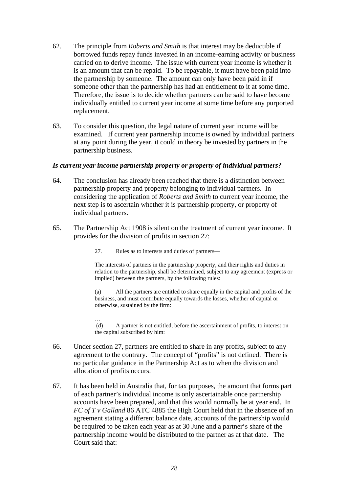- 62. The principle from *Roberts and Smith* is that interest may be deductible if borrowed funds repay funds invested in an income-earning activity or business carried on to derive income. The issue with current year income is whether it is an amount that can be repaid. To be repayable, it must have been paid into the partnership by someone. The amount can only have been paid in if someone other than the partnership has had an entitlement to it at some time. Therefore, the issue is to decide whether partners can be said to have become individually entitled to current year income at some time before any purported replacement.
- 63. To consider this question, the legal nature of current year income will be examined. If current year partnership income is owned by individual partners at any point during the year, it could in theory be invested by partners in the partnership business.

### *Is current year income partnership property or property of individual partners?*

- 64. The conclusion has already been reached that there is a distinction between partnership property and property belonging to individual partners. In considering the application of *Roberts and Smith* to current year income, the next step is to ascertain whether it is partnership property, or property of individual partners.
- 65. The Partnership Act 1908 is silent on the treatment of current year income. It provides for the division of profits in section 27:
	- 27. Rules as to interests and duties of partners—

The interests of partners in the partnership property, and their rights and duties in relation to the partnership, shall be determined, subject to any agreement (express or implied) between the partners, by the following rules:

(a) All the partners are entitled to share equally in the capital and profits of the business, and must contribute equally towards the losses, whether of capital or otherwise, sustained by the firm:

… (d) A partner is not entitled, before the ascertainment of profits, to interest on the capital subscribed by him:

- 66. Under section 27, partners are entitled to share in any profits, subject to any agreement to the contrary. The concept of "profits" is not defined. There is no particular guidance in the Partnership Act as to when the division and allocation of profits occurs.
- 67. It has been held in Australia that, for tax purposes, the amount that forms part of each partner's individual income is only ascertainable once partnership accounts have been prepared, and that this would normally be at year end. In *FC of T v Galland* 86 ATC 4885 the High Court held that in the absence of an agreement stating a different balance date, accounts of the partnership would be required to be taken each year as at 30 June and a partner's share of the partnership income would be distributed to the partner as at that date. The Court said that: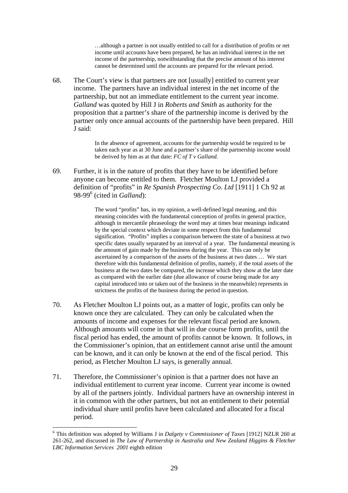…although a partner is not usually entitled to call for a distribution of profits or net income until accounts have been prepared, he has an individual interest in the net income of the partnership, notwithstanding that the precise amount of his interest cannot be determined until the accounts are prepared for the relevant period.

68. The Court's view is that partners are not [usually] entitled to current year income. The partners have an individual interest in the net income of the partnership, but not an immediate entitlement to the current year income. *Galland* was quoted by Hill J in *Roberts and Smith* as authority for the proposition that a partner's share of the partnership income is derived by the partner only once annual accounts of the partnership have been prepared. Hill J said:

> In the absence of agreement, accounts for the partnership would be required to be taken each year as at 30 June and a partner's share of the partnership income would be derived by him as at that date: *FC of T v Galland.*

69. Further, it is in the nature of profits that they have to be identified before anyone can become entitled to them. Fletcher Moulton LJ provided a definition of "profits" in *Re Spanish Prospecting Co. Ltd* [1911] 1 Ch 92 at 98-99<sup>6</sup> (cited in *Galland*):

> The word "profits" has, in my opinion, a well-defined legal meaning, and this meaning coincides with the fundamental conception of profits in general practice, although in mercantile phraseology the word may at times bear meanings indicated by the special context which deviate in some respect from this fundamental signification. "Profits" implies a comparison between the state of a business at two specific dates usually separated by an interval of a year. The fundamental meaning is the amount of gain made by the business during the year. This can only be ascertained by a comparison of the assets of the business at two dates … We start therefore with this fundamental definition of profits, namely, if the total assets of the business at the two dates be compared, the increase which they show at the later date as compared with the earlier date (due allowance of course being made for any capital introduced into or taken out of the business in the meanwhile) represents in strictness the profits of the business during the period in question.

- 70. As Fletcher Moulton LJ points out, as a matter of logic, profits can only be known once they are calculated. They can only be calculated when the amounts of income and expenses for the relevant fiscal period are known. Although amounts will come in that will in due course form profits, until the fiscal period has ended, the amount of profits cannot be known. It follows, in the Commissioner's opinion, that an entitlement cannot arise until the amount can be known, and it can only be known at the end of the fiscal period. This period, as Fletcher Moulton LJ says, is generally annual.
- 71. Therefore, the Commissioner's opinion is that a partner does not have an individual entitlement to current year income. Current year income is owned by all of the partners jointly. Individual partners have an ownership interest in it in common with the other partners, but not an entitlement to their potential individual share until profits have been calculated and allocated for a fiscal period.

 $\overline{a}$ 

<span id="page-28-0"></span><sup>6</sup> This definition was adopted by Williams J in *Dalgety v Commissioner of Taxes* [1912] NZLR 260 at 261-262, and discussed in *The Law of Partnership in Australia and New Zealand Higgins & Fletcher LBC Information Services 2001* eighth edition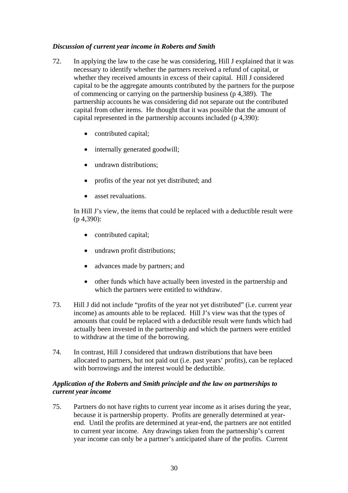### *Discussion of current year income in Roberts and Smith*

- 72. In applying the law to the case he was considering, Hill J explained that it was necessary to identify whether the partners received a refund of capital, or whether they received amounts in excess of their capital. Hill J considered capital to be the aggregate amounts contributed by the partners for the purpose of commencing or carrying on the partnership business (p 4,389). The partnership accounts he was considering did not separate out the contributed capital from other items. He thought that it was possible that the amount of capital represented in the partnership accounts included (p 4,390):
	- contributed capital;
	- internally generated goodwill;
	- undrawn distributions;
	- profits of the year not yet distributed; and
	- asset revaluations.

In Hill J's view, the items that could be replaced with a deductible result were (p 4,390):

- contributed capital;
- undrawn profit distributions;
- advances made by partners; and
- other funds which have actually been invested in the partnership and which the partners were entitled to withdraw.
- 73. Hill J did not include "profits of the year not yet distributed" (i.e. current year income) as amounts able to be replaced. Hill J's view was that the types of amounts that could be replaced with a deductible result were funds which had actually been invested in the partnership and which the partners were entitled to withdraw at the time of the borrowing.
- 74. In contrast, Hill J considered that undrawn distributions that have been allocated to partners, but not paid out (i.e. past years' profits), can be replaced with borrowings and the interest would be deductible.

### *Application of the Roberts and Smith principle and the law on partnerships to current year income*

75. Partners do not have rights to current year income as it arises during the year, because it is partnership property. Profits are generally determined at yearend. Until the profits are determined at year-end, the partners are not entitled to current year income. Any drawings taken from the partnership's current year income can only be a partner's anticipated share of the profits. Current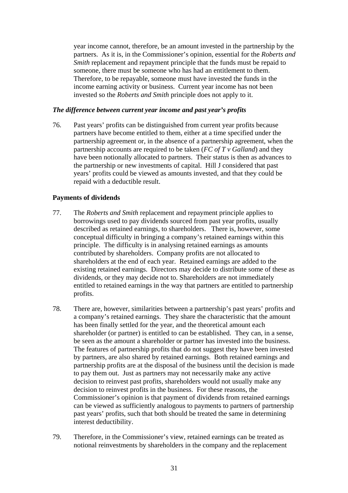year income cannot, therefore, be an amount invested in the partnership by the partners. As it is, in the Commissioner's opinion, essential for the *Roberts and Smith* replacement and repayment principle that the funds must be repaid to someone, there must be someone who has had an entitlement to them. Therefore, to be repayable, someone must have invested the funds in the income earning activity or business. Current year income has not been invested so the *Roberts and Smith* principle does not apply to it.

### *The difference between current year income and past year's profits*

76. Past years' profits can be distinguished from current year profits because partners have become entitled to them, either at a time specified under the partnership agreement or, in the absence of a partnership agreement, when the partnership accounts are required to be taken (*FC of T v Galland*) and they have been notionally allocated to partners. Their status is then as advances to the partnership or new investments of capital. Hill J considered that past years' profits could be viewed as amounts invested, and that they could be repaid with a deductible result.

# **Payments of dividends**

- 77. The *Roberts and Smith* replacement and repayment principle applies to borrowings used to pay dividends sourced from past year profits, usually described as retained earnings, to shareholders. There is, however, some conceptual difficulty in bringing a company's retained earnings within this principle. The difficulty is in analysing retained earnings as amounts contributed by shareholders. Company profits are not allocated to shareholders at the end of each year. Retained earnings are added to the existing retained earnings. Directors may decide to distribute some of these as dividends, or they may decide not to. Shareholders are not immediately entitled to retained earnings in the way that partners are entitled to partnership profits.
- 78. There are, however, similarities between a partnership's past years' profits and a company's retained earnings. They share the characteristic that the amount has been finally settled for the year, and the theoretical amount each shareholder (or partner) is entitled to can be established. They can, in a sense, be seen as the amount a shareholder or partner has invested into the business. The features of partnership profits that do not suggest they have been invested by partners, are also shared by retained earnings. Both retained earnings and partnership profits are at the disposal of the business until the decision is made to pay them out. Just as partners may not necessarily make any active decision to reinvest past profits, shareholders would not usually make any decision to reinvest profits in the business. For these reasons, the Commissioner's opinion is that payment of dividends from retained earnings can be viewed as sufficiently analogous to payments to partners of partnership past years' profits, such that both should be treated the same in determining interest deductibility.
- 79. Therefore, in the Commissioner's view, retained earnings can be treated as notional reinvestments by shareholders in the company and the replacement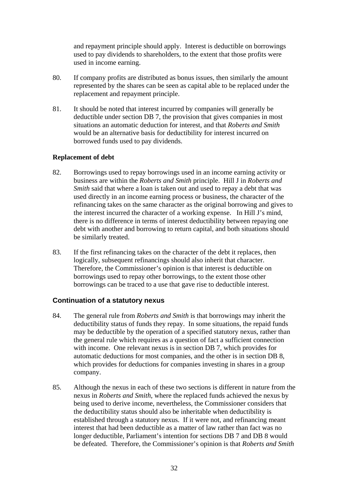and repayment principle should apply. Interest is deductible on borrowings used to pay dividends to shareholders, to the extent that those profits were used in income earning.

- 80. If company profits are distributed as bonus issues, then similarly the amount represented by the shares can be seen as capital able to be replaced under the replacement and repayment principle.
- 81. It should be noted that interest incurred by companies will generally be deductible under section DB 7, the provision that gives companies in most situations an automatic deduction for interest, and that *Roberts and Smith* would be an alternative basis for deductibility for interest incurred on borrowed funds used to pay dividends.

### **Replacement of debt**

- 82. Borrowings used to repay borrowings used in an income earning activity or business are within the *Roberts and Smith* principle. Hill J in *Roberts and Smith* said that where a loan is taken out and used to repay a debt that was used directly in an income earning process or business, the character of the refinancing takes on the same character as the original borrowing and gives to the interest incurred the character of a working expense. In Hill J's mind, there is no difference in terms of interest deductibility between repaying one debt with another and borrowing to return capital, and both situations should be similarly treated.
- 83. If the first refinancing takes on the character of the debt it replaces, then logically, subsequent refinancings should also inherit that character. Therefore, the Commissioner's opinion is that interest is deductible on borrowings used to repay other borrowings, to the extent those other borrowings can be traced to a use that gave rise to deductible interest.

# **Continuation of a statutory nexus**

- 84. The general rule from *Roberts and Smith* is that borrowings may inherit the deductibility status of funds they repay. In some situations, the repaid funds may be deductible by the operation of a specified statutory nexus, rather than the general rule which requires as a question of fact a sufficient connection with income. One relevant nexus is in section DB 7, which provides for automatic deductions for most companies, and the other is in section DB 8, which provides for deductions for companies investing in shares in a group company.
- 85. Although the nexus in each of these two sections is different in nature from the nexus in *Roberts and Smith*, where the replaced funds achieved the nexus by being used to derive income, nevertheless, the Commissioner considers that the deductibility status should also be inheritable when deductibility is established through a statutory nexus. If it were not, and refinancing meant interest that had been deductible as a matter of law rather than fact was no longer deductible, Parliament's intention for sections DB 7 and DB 8 would be defeated. Therefore, the Commissioner's opinion is that *Roberts and Smith*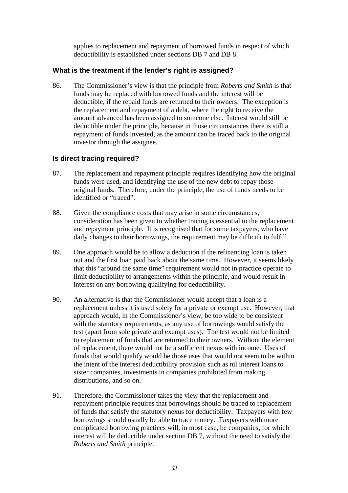applies to replacement and repayment of borrowed funds in respect of which deductibility is established under sections DB 7 and DB 8.

# **What is the treatment if the lender's right is assigned?**

86. The Commissioner's view is that the principle from *Roberts and Smith* is that funds may be replaced with borrowed funds and the interest will be deductible, if the repaid funds are returned to their owners. The exception is the replacement and repayment of a debt, where the right to receive the amount advanced has been assigned to someone else. Interest would still be deductible under the principle, because in those circumstances there is still a repayment of funds invested, as the amount can be traced back to the original investor through the assignee.

# **Is direct tracing required?**

- 87. The replacement and repayment principle requires identifying how the original funds were used, and identifying the use of the new debt to repay those original funds. Therefore, under the principle, the use of funds needs to be identified or "traced".
- 88. Given the compliance costs that may arise in some circumstances, consideration has been given to whether tracing is essential to the replacement and repayment principle. It is recognised that for some taxpayers, who have daily changes to their borrowings, the requirement may be difficult to fulfill.
- 89. One approach would be to allow a deduction if the refinancing loan is taken out and the first loan paid back about the same time. However, it seems likely that this "around the same time" requirement would not in practice operate to limit deductibility to arrangements within the principle, and would result in interest on any borrowing qualifying for deductibility.
- 90. An alternative is that the Commissioner would accept that a loan is a replacement unless it is used solely for a private or exempt use. However, that approach would, in the Commissioner's view, be too wide to be consistent with the statutory requirements, as any use of borrowings would satisfy the test (apart from sole private and exempt uses). The test would not be limited to replacement of funds that are returned to their owners. Without the element of replacement, there would not be a sufficient nexus with income. Uses of funds that would qualify would be those uses that would not seem to be within the intent of the interest deductibility provision such as nil interest loans to sister companies, investments in companies prohibited from making distributions, and so on.
- 91. Therefore, the Commissioner takes the view that the replacement and repayment principle requires that borrowings should be traced to replacement of funds that satisfy the statutory nexus for deductibility. Taxpayers with few borrowings should usually be able to trace money. Taxpayers with more complicated borrowing practices will, in most case, be companies, for which interest will be deductible under section DB 7, without the need to satisfy the *Roberts and Smith* principle.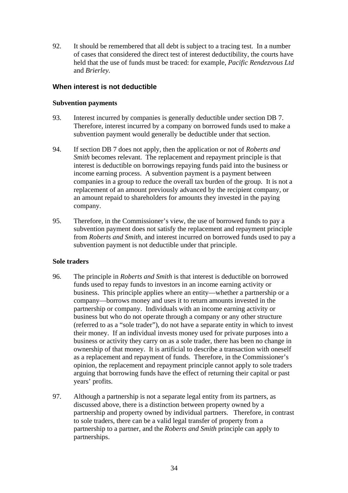92. It should be remembered that all debt is subject to a tracing test. In a number of cases that considered the direct test of interest deductibility, the courts have held that the use of funds must be traced: for example, *Pacific Rendezvous Ltd*  and *Brierley*.

# **When interest is not deductible**

### **Subvention payments**

- 93. Interest incurred by companies is generally deductible under section DB 7. Therefore, interest incurred by a company on borrowed funds used to make a subvention payment would generally be deductible under that section.
- 94. If section DB 7 does not apply, then the application or not of *Roberts and Smith* becomes relevant. The replacement and repayment principle is that interest is deductible on borrowings repaying funds paid into the business or income earning process. A subvention payment is a payment between companies in a group to reduce the overall tax burden of the group. It is not a replacement of an amount previously advanced by the recipient company, or an amount repaid to shareholders for amounts they invested in the paying company.
- 95. Therefore, in the Commissioner's view, the use of borrowed funds to pay a subvention payment does not satisfy the replacement and repayment principle from *Roberts and Smith*, and interest incurred on borrowed funds used to pay a subvention payment is not deductible under that principle.

# **Sole traders**

- 96. The principle in *Roberts and Smith* is that interest is deductible on borrowed funds used to repay funds to investors in an income earning activity or business. This principle applies where an entity—whether a partnership or a company—borrows money and uses it to return amounts invested in the partnership or company. Individuals with an income earning activity or business but who do not operate through a company or any other structure (referred to as a "sole trader"), do not have a separate entity in which to invest their money. If an individual invests money used for private purposes into a business or activity they carry on as a sole trader, there has been no change in ownership of that money. It is artificial to describe a transaction with oneself as a replacement and repayment of funds. Therefore, in the Commissioner's opinion, the replacement and repayment principle cannot apply to sole traders arguing that borrowing funds have the effect of returning their capital or past years' profits.
- 97. Although a partnership is not a separate legal entity from its partners, as discussed above, there is a distinction between property owned by a partnership and property owned by individual partners. Therefore, in contrast to sole traders, there can be a valid legal transfer of property from a partnership to a partner, and the *Roberts and Smith* principle can apply to partnerships.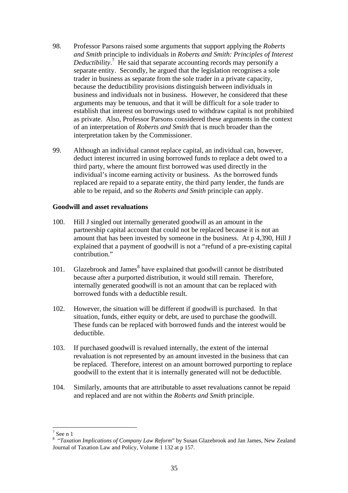- 98. Professor Parsons raised some arguments that support applying the *Roberts and Smith* principle to individuals in *Roberts and Smith: Principles of Interest*  Deductibility.<sup>7</sup> He said that separate accounting records may personify a separate entit[y.](#page-34-0) Secondly, he argued that the legislation recognises a sole trader in business as separate from the sole trader in a private capacity, because the deductibility provisions distinguish between individuals in business and individuals not in business. However, he considered that these arguments may be tenuous, and that it will be difficult for a sole trader to establish that interest on borrowings used to withdraw capital is not prohibited as private. Also, Professor Parsons considered these arguments in the context of an interpretation of *Roberts and Smith* that is much broader than the interpretation taken by the Commissioner.
- 99. Although an individual cannot replace capital, an individual can, however, deduct interest incurred in using borrowed funds to replace a debt owed to a third party, where the amount first borrowed was used directly in the individual's income earning activity or business. As the borrowed funds replaced are repaid to a separate entity, the third party lender, the funds are able to be repaid, and so the *Roberts and Smith* principle can apply.

### **Goodwill and asset revaluations**

- 100. Hill J singled out internally generated goodwill as an amount in the partnership capital account that could not be replaced because it is not an amount that has been invested by someone in the business. At p 4,390, Hill J explained that a payment of goodwill is not a "refund of a pre-existing capital contribution."
- 101. Glazebrook and James<sup>[8](#page-34-1)</sup> have explained that goodwill cannot be distributed because after a purported distribution, it would still remain. Therefore, internally generated goodwill is not an amount that can be replaced with borrowed funds with a deductible result.
- 102. However, the situation will be different if goodwill is purchased. In that situation, funds, either equity or debt, are used to purchase the goodwill. These funds can be replaced with borrowed funds and the interest would be deductible.
- 103. If purchased goodwill is revalued internally, the extent of the internal revaluation is not represented by an amount invested in the business that can be replaced. Therefore, interest on an amount borrowed purporting to replace goodwill to the extent that it is internally generated will not be deductible.
- 104. Similarly, amounts that are attributable to asset revaluations cannot be repaid and replaced and are not within the *Roberts and Smith* principle.

 $\overline{a}$ 

<span id="page-34-0"></span> $<sup>7</sup>$  See n 1</sup>

<span id="page-34-1"></span><sup>8</sup> "*Taxation Implications of Company Law Reform*" by Susan Glazebrook and Jan James, New Zealand Journal of Taxation Law and Policy, Volume 1 132 at p 157.